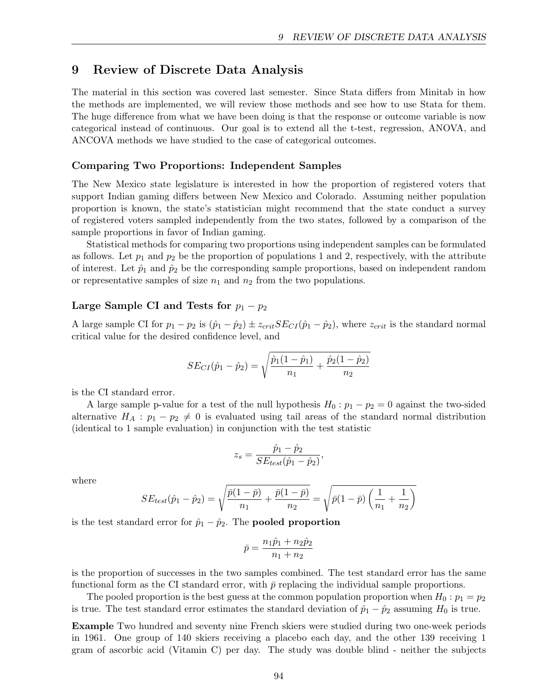# 9 Review of Discrete Data Analysis

The material in this section was covered last semester. Since Stata differs from Minitab in how the methods are implemented, we will review those methods and see how to use Stata for them. The huge difference from what we have been doing is that the response or outcome variable is now categorical instead of continuous. Our goal is to extend all the t-test, regression, ANOVA, and ANCOVA methods we have studied to the case of categorical outcomes.

### Comparing Two Proportions: Independent Samples

The New Mexico state legislature is interested in how the proportion of registered voters that support Indian gaming differs between New Mexico and Colorado. Assuming neither population proportion is known, the state's statistician might recommend that the state conduct a survey of registered voters sampled independently from the two states, followed by a comparison of the sample proportions in favor of Indian gaming.

Statistical methods for comparing two proportions using independent samples can be formulated as follows. Let  $p_1$  and  $p_2$  be the proportion of populations 1 and 2, respectively, with the attribute of interest. Let  $\hat{p}_1$  and  $\hat{p}_2$  be the corresponding sample proportions, based on independent random or representative samples of size  $n_1$  and  $n_2$  from the two populations.

# Large Sample CI and Tests for  $p_1 - p_2$

A large sample CI for  $p_1 - p_2$  is  $(\hat{p}_1 - \hat{p}_2) \pm z_{crit} SE_{CI}(\hat{p}_1 - \hat{p}_2)$ , where  $z_{crit}$  is the standard normal critical value for the desired confidence level, and

$$
SE_{CI}(\hat{p}_1 - \hat{p}_2) = \sqrt{\frac{\hat{p}_1(1-\hat{p}_1)}{n_1} + \frac{\hat{p}_2(1-\hat{p}_2)}{n_2}}
$$

is the CI standard error.

A large sample p-value for a test of the null hypothesis  $H_0: p_1 - p_2 = 0$  against the two-sided alternative  $H_A$ :  $p_1 - p_2 \neq 0$  is evaluated using tail areas of the standard normal distribution (identical to 1 sample evaluation) in conjunction with the test statistic

$$
z_s = \frac{\hat{p}_1 - \hat{p}_2}{SE_{test}(\hat{p}_1 - \hat{p}_2)}
$$

,

where

$$
SE_{test}(\hat{p}_1 - \hat{p}_2) = \sqrt{\frac{\bar{p}(1-\bar{p})}{n_1} + \frac{\bar{p}(1-\bar{p})}{n_2}} = \sqrt{\bar{p}(1-\bar{p})\left(\frac{1}{n_1} + \frac{1}{n_2}\right)}
$$

is the test standard error for  $\hat{p}_1 - \hat{p}_2$ . The **pooled proportion** 

$$
\bar{p} = \frac{n_1\hat{p}_1 + n_2\hat{p}_2}{n_1 + n_2}
$$

is the proportion of successes in the two samples combined. The test standard error has the same functional form as the CI standard error, with  $\bar{p}$  replacing the individual sample proportions.

The pooled proportion is the best guess at the common population proportion when  $H_0: p_1 = p_2$ is true. The test standard error estimates the standard deviation of  $\hat{p}_1 - \hat{p}_2$  assuming  $H_0$  is true.

Example Two hundred and seventy nine French skiers were studied during two one-week periods in 1961. One group of 140 skiers receiving a placebo each day, and the other 139 receiving 1 gram of ascorbic acid (Vitamin C) per day. The study was double blind - neither the subjects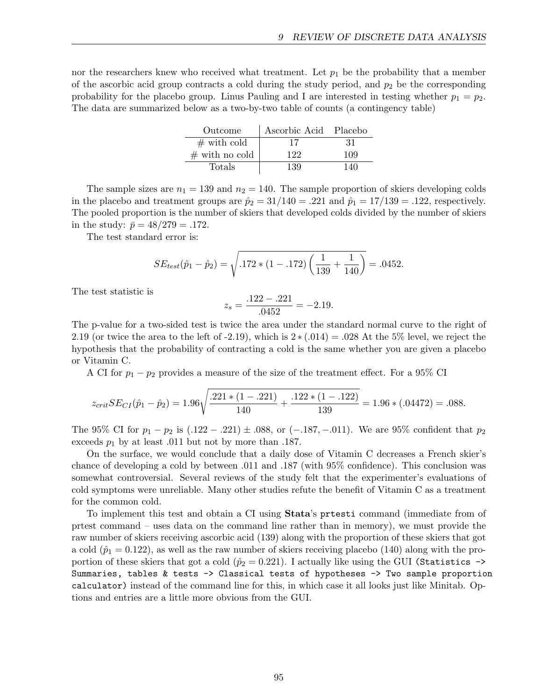nor the researchers knew who received what treatment. Let  $p_1$  be the probability that a member of the ascorbic acid group contracts a cold during the study period, and  $p_2$  be the corresponding probability for the placebo group. Linus Pauling and I are interested in testing whether  $p_1 = p_2$ . The data are summarized below as a two-by-two table of counts (a contingency table)

| Outcome          | Ascorbic Acid Placebo |     |
|------------------|-----------------------|-----|
| $#$ with cold    | 17                    | 31  |
| $#$ with no cold | 122                   | 109 |
| <b>Totals</b>    | 139                   | 140 |

The sample sizes are  $n_1 = 139$  and  $n_2 = 140$ . The sample proportion of skiers developing colds in the placebo and treatment groups are  $\hat{p}_2 = 31/140 = .221$  and  $\hat{p}_1 = 17/139 = .122$ , respectively. The pooled proportion is the number of skiers that developed colds divided by the number of skiers in the study:  $\bar{p} = 48/279 = .172$ .

The test standard error is:

$$
SE_{test}(\hat{p}_1 - \hat{p}_2) = \sqrt{.172 * (1 - .172) \left( \frac{1}{139} + \frac{1}{140} \right)} = .0452.
$$

The test statistic is

$$
z_s = \frac{.122 - .221}{.0452} = -2.19.
$$

The p-value for a two-sided test is twice the area under the standard normal curve to the right of 2.19 (or twice the area to the left of -2.19), which is  $2 * (.014) = .028$  At the 5% level, we reject the hypothesis that the probability of contracting a cold is the same whether you are given a placebo or Vitamin C.

A CI for  $p_1 - p_2$  provides a measure of the size of the treatment effect. For a 95% CI

$$
z_{crit}SE_{CI}(\hat{p}_1 - \hat{p}_2) = 1.96\sqrt{\frac{.221 * (1 - .221)}{140} + \frac{.122 * (1 - .122)}{139}} = 1.96 * (.04472) = .088.
$$

The 95% CI for  $p_1 - p_2$  is  $(.122 - .221) \pm .088$ , or  $(-.187, -.011)$ . We are 95% confident that  $p_2$ exceeds  $p_1$  by at least .011 but not by more than .187.

On the surface, we would conclude that a daily dose of Vitamin C decreases a French skier's chance of developing a cold by between .011 and .187 (with 95% confidence). This conclusion was somewhat controversial. Several reviews of the study felt that the experimenter's evaluations of cold symptoms were unreliable. Many other studies refute the benefit of Vitamin C as a treatment for the common cold.

To implement this test and obtain a CI using Stata's prtesti command (immediate from of prtest command – uses data on the command line rather than in memory), we must provide the raw number of skiers receiving ascorbic acid (139) along with the proportion of these skiers that got a cold  $(\hat{p}_1 = 0.122)$ , as well as the raw number of skiers receiving placebo (140) along with the proportion of these skiers that got a cold ( $\hat{p}_2 = 0.221$ ). I actually like using the GUI (Statistics  $\rightarrow$ Summaries, tables & tests -> Classical tests of hypotheses -> Two sample proportion calculator) instead of the command line for this, in which case it all looks just like Minitab. Options and entries are a little more obvious from the GUI.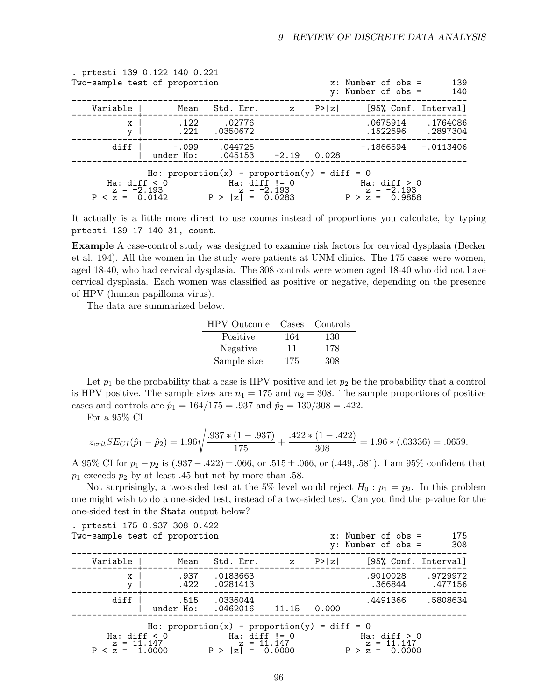| . prtesti 139 0.122 140 0.221<br>Two-sample test of proportion                                                                                                                                                         |                      |                    |              |        | $x:$ Number of obs =<br>$y:$ Number of obs = | 139<br>140           |
|------------------------------------------------------------------------------------------------------------------------------------------------------------------------------------------------------------------------|----------------------|--------------------|--------------|--------|----------------------------------------------|----------------------|
| Variable                                                                                                                                                                                                               | Mean                 | Std. Err.          | $\mathbf{Z}$ | P >  z | [95% Conf. Interval]                         |                      |
| $\mathbf x$<br>y                                                                                                                                                                                                       | . 122<br>.221        | .02776<br>.0350672 |              |        | .0675914<br>.1522696                         | .1764086<br>.2897304 |
| diff                                                                                                                                                                                                                   | $-.099$<br>under Ho: | .044725<br>.045153 | $-2.19$      | 0.028  | -.1866594                                    | $-.0113406$          |
| Ho: proportion(x) - proportion(y) = diff = 0<br>Ha: $diff$ != 0<br>Ha: $diff < 0$<br>Ha: $diff > 0$<br>$z = -2.193$<br>$z = -2.193$<br>$z = -2.193$<br>$P >  z  = 0.0283$<br>$P \le z = 0.0142$<br>$P > z =$<br>0.9858 |                      |                    |              |        |                                              |                      |

It actually is a little more direct to use counts instead of proportions you calculate, by typing prtesti 139 17 140 31, count.

Example A case-control study was designed to examine risk factors for cervical dysplasia (Becker et al. 194). All the women in the study were patients at UNM clinics. The 175 cases were women, aged 18-40, who had cervical dysplasia. The 308 controls were women aged 18-40 who did not have cervical dysplasia. Each women was classified as positive or negative, depending on the presence of HPV (human papilloma virus).

The data are summarized below.

| <b>HPV</b> Outcome |     | Cases Controls |
|--------------------|-----|----------------|
| Positive           | 164 | 130            |
| Negative           | 11  | 178            |
| Sample size        | 175 | 308            |

Let  $p_1$  be the probability that a case is HPV positive and let  $p_2$  be the probability that a control is HPV positive. The sample sizes are  $n_1 = 175$  and  $n_2 = 308$ . The sample proportions of positive cases and controls are  $\hat{p}_1 = 164/175 = .937$  and  $\hat{p}_2 = 130/308 = .422$ .

For a 95% CI

$$
z_{crit}SE_{CI}(\hat{p}_1 - \hat{p}_2) = 1.96\sqrt{\frac{.937 * (1 - .937)}{175} + \frac{.422 * (1 - .422)}{308}} = 1.96 * (.03336) = .0659.
$$

A 95% CI for  $p_1 - p_2$  is  $(.937 - .422) \pm .066$ , or  $.515 \pm .066$ , or  $(.449, .581)$ . I am 95% confident that  $p_1$  exceeds  $p_2$  by at least .45 but not by more than .58.

Not surprisingly, a two-sided test at the 5% level would reject  $H_0: p_1 = p_2$ . In this problem one might wish to do a one-sided test, instead of a two-sided test. Can you find the p-value for the one-sided test in the Stata output below?

. prtesti 175 0.937 308 0.422

| Two-sample test of proportion                                                                                                                                                                                                                        |                   |                      |              |        | $x:$ Number of obs =<br>$y:$ Number of obs = | 175<br>308          |  |
|------------------------------------------------------------------------------------------------------------------------------------------------------------------------------------------------------------------------------------------------------|-------------------|----------------------|--------------|--------|----------------------------------------------|---------------------|--|
| Variable                                                                                                                                                                                                                                             | Mean              | Std. Err.            | $\mathbf{z}$ | P >  z | [95% Conf. Interval]                         |                     |  |
| X<br>y                                                                                                                                                                                                                                               | .937<br>.422      | .0183663<br>.0281413 |              |        | .9010028<br>.366844                          | .9729972<br>.477156 |  |
| diff                                                                                                                                                                                                                                                 | .515<br>under Ho: | .0336044<br>.0462016 | 11.15        | 0.000  | .4491366                                     | .5808634            |  |
| Ho: proportion(x) - proportion(y) = $diff = 0$<br>Ha: $diff$ != 0<br>Ha: $diff < 0$<br>Ha: $diff > 0$<br>$z = 11.147$<br>$z = 11.147$<br>$z = 11.147$<br>$P > z =$<br>0.0000<br>0.0000<br>1.0000<br>$=$<br>$Z_{\rm c}$<br>l z I<br>$\qquad \qquad =$ |                   |                      |              |        |                                              |                     |  |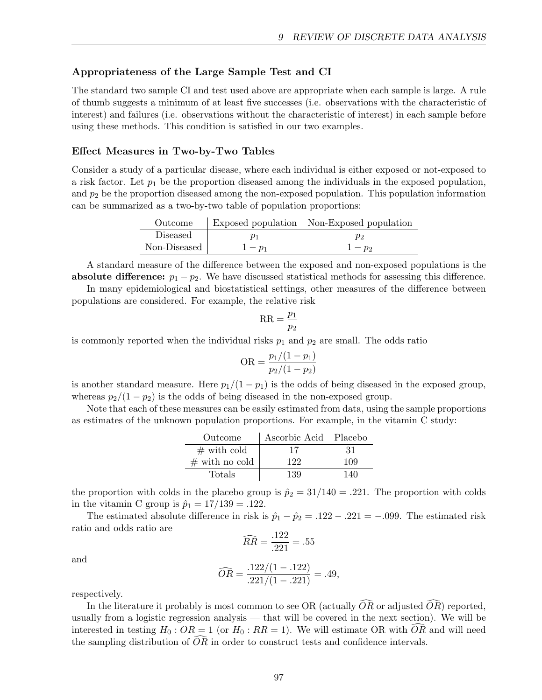# Appropriateness of the Large Sample Test and CI

The standard two sample CI and test used above are appropriate when each sample is large. A rule of thumb suggests a minimum of at least five successes (i.e. observations with the characteristic of interest) and failures (i.e. observations without the characteristic of interest) in each sample before using these methods. This condition is satisfied in our two examples.

## Effect Measures in Two-by-Two Tables

Consider a study of a particular disease, where each individual is either exposed or not-exposed to a risk factor. Let  $p_1$  be the proportion diseased among the individuals in the exposed population, and  $p_2$  be the proportion diseased among the non-exposed population. This population information can be summarized as a two-by-two table of population proportions:

| Outcome      |         | Exposed population Non-Exposed population |
|--------------|---------|-------------------------------------------|
| Diseased     | $v_1$   | $p_2$                                     |
| Non-Diseased | $1-p_1$ | $1-p_2$                                   |

A standard measure of the difference between the exposed and non-exposed populations is the absolute difference:  $p_1 - p_2$ . We have discussed statistical methods for assessing this difference.

In many epidemiological and biostatistical settings, other measures of the difference between populations are considered. For example, the relative risk

$$
RR = \frac{p_1}{p_2}
$$

is commonly reported when the individual risks  $p_1$  and  $p_2$  are small. The odds ratio

OR = 
$$
\frac{p_1/(1-p_1)}{p_2/(1-p_2)}
$$

is another standard measure. Here  $p_1/(1 - p_1)$  is the odds of being diseased in the exposed group, whereas  $p_2/(1-p_2)$  is the odds of being diseased in the non-exposed group.

Note that each of these measures can be easily estimated from data, using the sample proportions as estimates of the unknown population proportions. For example, in the vitamin C study:

| Outcome          | Ascorbic Acid Placebo |     |
|------------------|-----------------------|-----|
| $#$ with cold    | 17                    | -31 |
| $#$ with no cold | 122                   | 109 |
| Totals           | 139                   | 140 |

the proportion with colds in the placebo group is  $\hat{p}_2 = 31/140 = .221$ . The proportion with colds in the vitamin C group is  $\hat{p}_1 = 17/139 = .122$ .

The estimated absolute difference in risk is  $\hat{p}_1 - \hat{p}_2 = .122 - .221 = -.099$ . The estimated risk ratio and odds ratio are

$$
\widehat{RR} = \frac{.122}{.221} = .55
$$

and

$$
\widehat{OR} = \frac{.122/(1 - .122)}{.221/(1 - .221)} = .49,
$$

respectively.

In the literature it probably is most common to see OR (actually  $\widehat{OR}$  or adjusted  $\widehat{OR}$ ) reported, usually from a logistic regression analysis — that will be covered in the next section). We will be interested in testing  $H_0$ :  $OR = 1$  (or  $H_0$ :  $RR = 1$ ). We will estimate OR with  $OR$  and will need the sampling distribution of  $\widehat{OR}$  in order to construct tests and confidence intervals.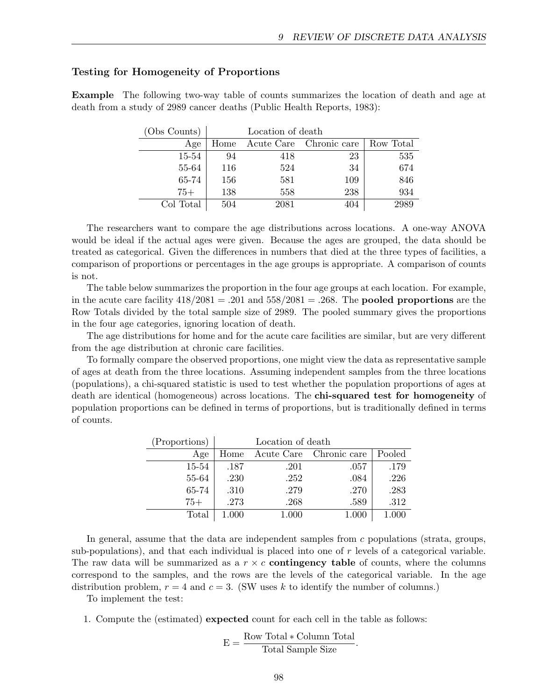# Testing for Homogeneity of Proportions

Example The following two-way table of counts summarizes the location of death and age at death from a study of 2989 cancer deaths (Public Health Reports, 1983):

| (Obs Counts) | Location of death |      |                         |           |  |  |
|--------------|-------------------|------|-------------------------|-----------|--|--|
| Age          | Home              |      | Acute Care Chronic care | Row Total |  |  |
| 15-54        | 94                | 418  | 23                      | 535       |  |  |
| 55-64        | 116               | 524  | 34                      | 674       |  |  |
| 65-74        | 156               | 581  | 109                     | 846       |  |  |
| $75+$        | 138               | 558  | 238                     | 934       |  |  |
| Col Total    | 504               | 2081 | 404                     | 2989      |  |  |

The researchers want to compare the age distributions across locations. A one-way ANOVA would be ideal if the actual ages were given. Because the ages are grouped, the data should be treated as categorical. Given the differences in numbers that died at the three types of facilities, a comparison of proportions or percentages in the age groups is appropriate. A comparison of counts is not.

The table below summarizes the proportion in the four age groups at each location. For example, in the acute care facility  $418/2081 = .201$  and  $558/2081 = .268$ . The **pooled proportions** are the Row Totals divided by the total sample size of 2989. The pooled summary gives the proportions in the four age categories, ignoring location of death.

The age distributions for home and for the acute care facilities are similar, but are very different from the age distribution at chronic care facilities.

To formally compare the observed proportions, one might view the data as representative sample of ages at death from the three locations. Assuming independent samples from the three locations (populations), a chi-squared statistic is used to test whether the population proportions of ages at death are identical (homogeneous) across locations. The chi-squared test for homogeneity of population proportions can be defined in terms of proportions, but is traditionally defined in terms of counts.

| (Proportions) | Location of death |       |                         |        |  |  |
|---------------|-------------------|-------|-------------------------|--------|--|--|
| Age           | Home              |       | Acute Care Chronic care | Pooled |  |  |
| 15-54         | .187              | .201  | .057                    | .179   |  |  |
| 55-64         | .230              | .252  | .084                    | .226   |  |  |
| 65-74         | .310              | .279  | .270                    | .283   |  |  |
| $75+$         | .273              | .268  | .589                    | .312   |  |  |
| Total         | 1.000             | 1.000 |                         | 1.000  |  |  |

In general, assume that the data are independent samples from  $c$  populations (strata, groups, sub-populations), and that each individual is placed into one of  $r$  levels of a categorical variable. The raw data will be summarized as a  $r \times c$  contingency table of counts, where the columns correspond to the samples, and the rows are the levels of the categorical variable. In the age distribution problem,  $r = 4$  and  $c = 3$ . (SW uses k to identify the number of columns.)

To implement the test:

1. Compute the (estimated) expected count for each cell in the table as follows:

$$
E = \frac{\text{Row Total} * Column Total}{Total Sample Size}.
$$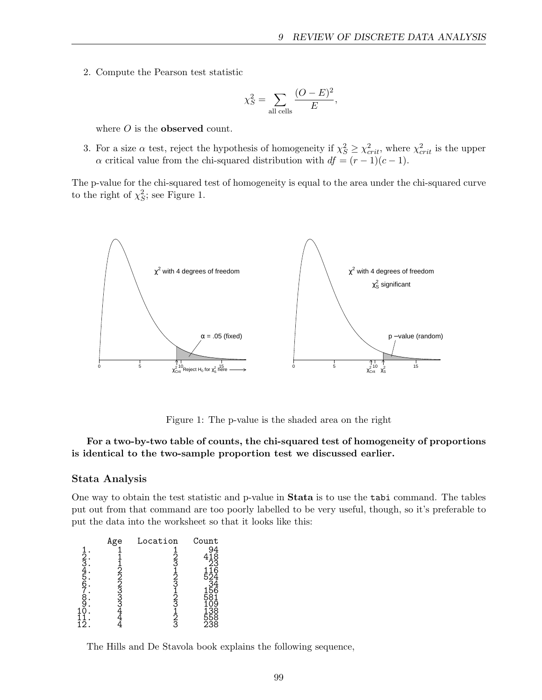2. Compute the Pearson test statistic

$$
\chi_S^2 = \sum_{\text{all cells}} \frac{(O - E)^2}{E},
$$

where  $O$  is the **observed** count.

3. For a size  $\alpha$  test, reject the hypothesis of homogeneity if  $\chi_S^2 \geq \chi_{crit}^2$ , where  $\chi_{crit}^2$  is the upper  $\alpha$  critical value from the chi-squared distribution with  $df = (r - 1)(c - 1)$ .

The p-value for the chi-squared test of homogeneity is equal to the area under the chi-squared curve to the right of  $\chi_S^2$ ; see Figure 1.



Figure 1: The p-value is the shaded area on the right

# For a two-by-two table of counts, the chi-squared test of homogeneity of proportions is identical to the two-sample proportion test we discussed earlier.

### Stata Analysis

One way to obtain the test statistic and p-value in Stata is to use the tabi command. The tables put out from that command are too poorly labelled to be very useful, though, so it's preferable to put the data into the worksheet so that it looks like this:

|                                                                                                                                      | Age   | Location    | Count                                                |
|--------------------------------------------------------------------------------------------------------------------------------------|-------|-------------|------------------------------------------------------|
|                                                                                                                                      |       |             | $\frac{4}{8}$                                        |
| $\frac{1}{2}$<br>$\frac{2}{3}$<br>$\frac{4}{5}$<br>$\frac{5}{6}$<br>$\frac{6}{7}$<br>$\frac{8}{9}$<br>$\frac{9}{0}$<br>$\frac{1}{1}$ | うつつろう | 23123123123 | $123$<br>$123$<br>$1524$<br>$153$<br>$1581$<br>$109$ |
| ĪŽ                                                                                                                                   |       |             | 138<br>558                                           |

The Hills and De Stavola book explains the following sequence,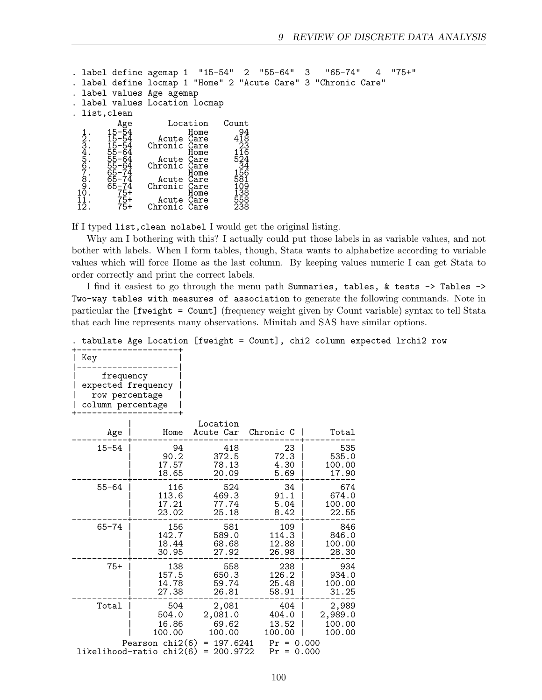|  |                                                                                                                                                     |                                                                                                                                  |                              |                                                                                                  |  | . label define agemap 1 "15-54" 2 "55-64" 3 "65-74" 4          | $"75+"$ |
|--|-----------------------------------------------------------------------------------------------------------------------------------------------------|----------------------------------------------------------------------------------------------------------------------------------|------------------------------|--------------------------------------------------------------------------------------------------|--|----------------------------------------------------------------|---------|
|  |                                                                                                                                                     |                                                                                                                                  |                              |                                                                                                  |  | . label define locmap 1 "Home" 2 "Acute Care" 3 "Chronic Care" |         |
|  |                                                                                                                                                     | . label values Age agemap                                                                                                        |                              |                                                                                                  |  |                                                                |         |
|  |                                                                                                                                                     | . label values Location locmap                                                                                                   |                              |                                                                                                  |  |                                                                |         |
|  | . list,clean                                                                                                                                        |                                                                                                                                  |                              |                                                                                                  |  |                                                                |         |
|  | Age<br>$15 - 54$<br>$15 - 54$<br>$15 - 54$<br>$55 - 64$<br>$55 - 64$<br>$55 - 64$<br>$65 - 74$<br>$65 - 74$<br>$65 - 74$<br>$75+$<br>$75+$<br>$75+$ | Location<br>Acute Care<br>Chronic Care<br>Acute Care<br>Chronic Care<br>Acute Care<br>Chronic Care<br>Acute Care<br>Chronic Care | Home<br>Home<br>Home<br>Home | Count<br>94<br>$^{418}_{23}$<br>116<br>524<br>534<br>55<br>55<br>531<br>109<br>138<br>558<br>238 |  |                                                                |         |

If I typed list,clean nolabel I would get the original listing.

Why am I bothering with this? I actually could put those labels in as variable values, and not bother with labels. When I form tables, though, Stata wants to alphabetize according to variable values which will force Home as the last column. By keeping values numeric I can get Stata to order correctly and print the correct labels.

I find it easiest to go through the menu path Summaries, tables, & tests -> Tables -> Two-way tables with measures of association to generate the following commands. Note in particular the [fweight = Count] (frequency weight given by Count variable) syntax to tell Stata that each line represents many observations. Minitab and SAS have similar options.

. tabulate Age Location [fweight = Count], chi2 column expected lrchi2 row

| Key                |
|--------------------|
|                    |
| frequency          |
| expected frequency |
| row percentage     |
| column percentage  |
|                    |

| Age       | Home                                          | Location<br>Acute Car              | Chronic C              | Total   |
|-----------|-----------------------------------------------|------------------------------------|------------------------|---------|
| $15 - 54$ | 94                                            | 418                                | 23                     | 535     |
|           | 90.2                                          | 372.5                              | 72.3                   | 535.0   |
|           | 17.57                                         | 78.13                              | 4.30                   | 100.00  |
|           | 18.65                                         | 20.09                              | 5.69                   | 17.90   |
| $55 - 64$ | 116                                           | 524                                | 34                     | 674     |
|           | 113.6                                         | 469.3                              | 91.1                   | 674.0   |
|           | 17.21                                         | 77.74                              | 5.04                   | 100.00  |
|           | 23.02                                         | 25.18                              | 8.42                   | 22.55   |
| $65 - 74$ | 156                                           | 581                                | 109                    | 846     |
|           | 142.7                                         | 589.0                              | 114.3                  | 846.0   |
|           | 18.44                                         | 68.68                              | 12.88                  | 100.00  |
|           | 30.95                                         | 27.92                              | 26.98                  | 28.30   |
| $75+$     | 138                                           | 558                                | 238                    | 934     |
|           | 157.5                                         | 650.3                              | 126.2                  | 934.0   |
|           | 14.78                                         | 59.74                              | 25.48                  | 100.00  |
|           | 27.38                                         | 26.81                              | 58.91                  | 31.25   |
| Total     | 504                                           | 2,081                              | 404                    | 2,989   |
|           | 504.0                                         | 2,081.0                            | 404.0                  | 2,989.0 |
|           | 16.86                                         | 69.62                              | 13.52                  | 100.00  |
|           | 100.00                                        | 100.00                             | 100.00                 | 100.00  |
|           | Pearson $chi2(6)$<br>likelihood-ratio chi2(6) | 197.6241<br>$=$<br>200.9722<br>$=$ | $Pr =$<br>$Pr = 0.000$ | 0.000   |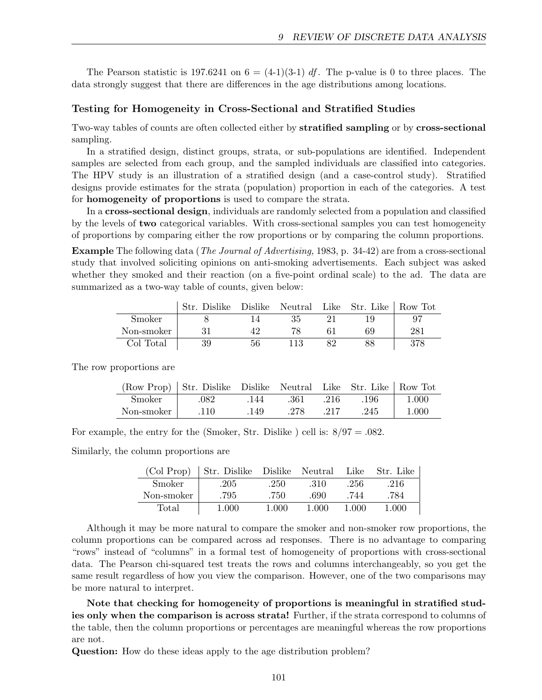The Pearson statistic is 197.6241 on  $6 = (4-1)(3-1)$  df. The p-value is 0 to three places. The data strongly suggest that there are differences in the age distributions among locations.

## Testing for Homogeneity in Cross-Sectional and Stratified Studies

Two-way tables of counts are often collected either by stratified sampling or by cross-sectional sampling.

In a stratified design, distinct groups, strata, or sub-populations are identified. Independent samples are selected from each group, and the sampled individuals are classified into categories. The HPV study is an illustration of a stratified design (and a case-control study). Stratified designs provide estimates for the strata (population) proportion in each of the categories. A test for **homogeneity of proportions** is used to compare the strata.

In a **cross-sectional design**, individuals are randomly selected from a population and classified by the levels of **two** categorical variables. With cross-sectional samples you can test homogeneity of proportions by comparing either the row proportions or by comparing the column proportions.

Example The following data (The Journal of Advertising, 1983, p. 34-42) are from a cross-sectional study that involved soliciting opinions on anti-smoking advertisements. Each subject was asked whether they smoked and their reaction (on a five-point ordinal scale) to the ad. The data are summarized as a two-way table of counts, given below:

|            | Str. Dislike |    |  | Dislike Neutral Like Str. Like Row Tot |     |
|------------|--------------|----|--|----------------------------------------|-----|
| Smoker     |              |    |  |                                        |     |
| Non-smoker |              |    |  | 69                                     | 281 |
| Col Total  | 30           | 56 |  |                                        | 378 |

The row proportions are

|            | (Row Prop) Str. Dislike Dislike Neutral Like Str. Like Row Tot |      |      |      |      |       |
|------------|----------------------------------------------------------------|------|------|------|------|-------|
| Smoker     | .082                                                           | 144  | .361 | .216 | .196 | 1.000 |
| Non-smoker | .110                                                           | .149 | .278 | .217 | .245 | 1.000 |

For example, the entry for the (Smoker, Str. Dislike) cell is:  $8/97 = .082$ .

Similarly, the column proportions are

| (Col Prop) | Str. Dislike Dislike Neutral |       |       | Like  | Str. Like |
|------------|------------------------------|-------|-------|-------|-----------|
| Smoker     | .205                         | .250  | .310  | .256  | .216      |
| Non-smoker | .795                         | -750  | -690  | .744  | .784      |
| Total      | 1.000                        | 1.000 | 1.000 | 1.000 | 1.000     |

Although it may be more natural to compare the smoker and non-smoker row proportions, the column proportions can be compared across ad responses. There is no advantage to comparing "rows" instead of "columns" in a formal test of homogeneity of proportions with cross-sectional data. The Pearson chi-squared test treats the rows and columns interchangeably, so you get the same result regardless of how you view the comparison. However, one of the two comparisons may be more natural to interpret.

Note that checking for homogeneity of proportions is meaningful in stratified studies only when the comparison is across strata! Further, if the strata correspond to columns of the table, then the column proportions or percentages are meaningful whereas the row proportions are not.

Question: How do these ideas apply to the age distribution problem?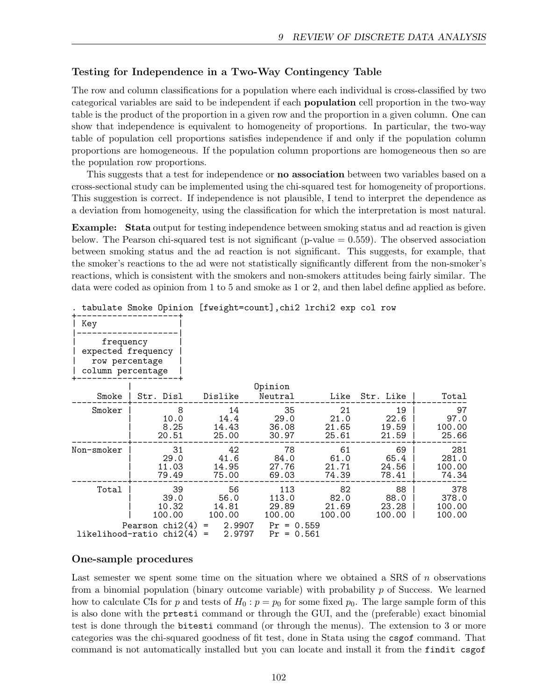# Testing for Independence in a Two-Way Contingency Table

The row and column classifications for a population where each individual is cross-classified by two categorical variables are said to be independent if each population cell proportion in the two-way table is the product of the proportion in a given row and the proportion in a given column. One can show that independence is equivalent to homogeneity of proportions. In particular, the two-way table of population cell proportions satisfies independence if and only if the population column proportions are homogeneous. If the population column proportions are homogeneous then so are the population row proportions.

This suggests that a test for independence or **no** association between two variables based on a cross-sectional study can be implemented using the chi-squared test for homogeneity of proportions. This suggestion is correct. If independence is not plausible, I tend to interpret the dependence as a deviation from homogeneity, using the classification for which the interpretation is most natural.

Example: Stata output for testing independence between smoking status and ad reaction is given below. The Pearson chi-squared test is not significant (p-value  $= 0.559$ ). The observed association between smoking status and the ad reaction is not significant. This suggests, for example, that the smoker's reactions to the ad were not statistically significantly different from the non-smoker's reactions, which is consistent with the smokers and non-smokers attitudes being fairly similar. The data were coded as opinion from 1 to 5 and smoke as 1 or 2, and then label define applied as before.

|                                                                        | caparace pmoke opinion [rweight-count], this fitnis exp cor row |                                                            |                                 |                               |                               |                                  |
|------------------------------------------------------------------------|-----------------------------------------------------------------|------------------------------------------------------------|---------------------------------|-------------------------------|-------------------------------|----------------------------------|
| Key                                                                    |                                                                 |                                                            |                                 |                               |                               |                                  |
| frequency<br>expected frequency<br>row percentage<br>column percentage |                                                                 |                                                            |                                 |                               |                               |                                  |
|                                                                        |                                                                 |                                                            | Opinion                         |                               |                               |                                  |
| Smoke                                                                  | Str. Disl                                                       | Dislike                                                    | Neutral                         | Like                          | Str. Like                     | Total                            |
| Smoker                                                                 | 8<br>10.0<br>8.25<br>20.51                                      | 14<br>14.4<br>14.43<br>25.00                               | 35<br>29.0<br>36.08<br>30.97    | 21<br>21.0<br>21.65<br>25.61  | 19<br>22.6<br>19.59<br>21.59  | 97<br>97.0<br>100.00<br>25.66    |
| Non-smoker                                                             | 31<br>29.0<br>11.03<br>79.49                                    | 42<br>41.6<br>14.95<br>75.00                               | 78<br>84.0<br>27.76<br>69.03    | 61<br>61.0<br>21.71<br>74.39  | 69<br>65.4<br>24.56<br>78.41  | 281<br>281.0<br>100.00<br>74.34  |
| Total                                                                  | 39<br>39.0<br>10.32<br>100.00                                   | 56<br>56.0<br>14.81<br>100.00                              | 113<br>113.0<br>29.89<br>100.00 | 82<br>82.0<br>21.69<br>100.00 | 88<br>88.0<br>23.28<br>100.00 | 378<br>378.0<br>100.00<br>100.00 |
|                                                                        | Pearson $chi2(4)$<br>likelihood-ratio chi2(4)                   | 2.9907<br>$\qquad \qquad =$<br>2.9797<br>$\qquad \qquad =$ | $Pr = 0.559$<br>$Pr = 0.561$    |                               |                               |                                  |

. tabulate Smoke Opinion [fweight=count],chi2 lrchi2 exp col row

## One-sample procedures

Last semester we spent some time on the situation where we obtained a SRS of  $n$  observations from a binomial population (binary outcome variable) with probability  $p$  of Success. We learned how to calculate CIs for p and tests of  $H_0: p = p_0$  for some fixed  $p_0$ . The large sample form of this is also done with the prtesti command or through the GUI, and the (preferable) exact binomial test is done through the bitesti command (or through the menus). The extension to 3 or more categories was the chi-squared goodness of fit test, done in Stata using the csgof command. That command is not automatically installed but you can locate and install it from the findit csgof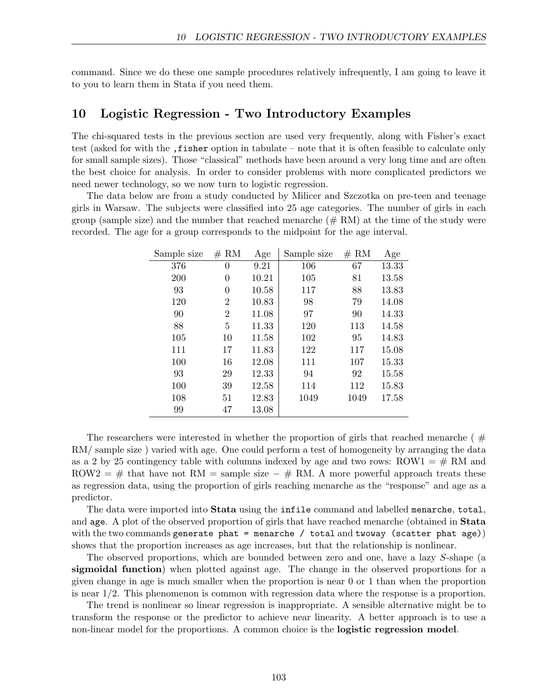command. Since we do these one sample procedures relatively infrequently, I am going to leave it to you to learn them in Stata if you need them.

# 10 Logistic Regression - Two Introductory Examples

The chi-squared tests in the previous section are used very frequently, along with Fisher's exact test (asked for with the ,fisher option in tabulate – note that it is often feasible to calculate only for small sample sizes). Those "classical" methods have been around a very long time and are often the best choice for analysis. In order to consider problems with more complicated predictors we need newer technology, so we now turn to logistic regression.

The data below are from a study conducted by Milicer and Szczotka on pre-teen and teenage girls in Warsaw. The subjects were classified into 25 age categories. The number of girls in each group (sample size) and the number that reached menarche  $(\text{# RM})$  at the time of the study were recorded. The age for a group corresponds to the midpoint for the age interval.

| Sample size | # RM           | Age   | Sample size | # RM | Age   |
|-------------|----------------|-------|-------------|------|-------|
| 376         | $\theta$       | 9.21  | 106         | 67   | 13.33 |
| 200         | $\overline{0}$ | 10.21 | 105         | 81   | 13.58 |
| 93          | 0              | 10.58 | 117         | 88   | 13.83 |
| 120         | $\overline{2}$ | 10.83 | 98          | 79   | 14.08 |
| 90          | $\overline{2}$ | 11.08 | 97          | 90   | 14.33 |
| 88          | 5              | 11.33 | 120         | 113  | 14.58 |
| 105         | 10             | 11.58 | 102         | 95   | 14.83 |
| 111         | 17             | 11.83 | 122         | 117  | 15.08 |
| 100         | 16             | 12.08 | 111         | 107  | 15.33 |
| 93          | 29             | 12.33 | 94          | 92   | 15.58 |
| 100         | 39             | 12.58 | 114         | 112  | 15.83 |
| 108         | 51             | 12.83 | 1049        | 1049 | 17.58 |
| 99          | 47             | 13.08 |             |      |       |

The researchers were interested in whether the proportion of girls that reached menarche ( $#$ RM/ sample size) varied with age. One could perform a test of homogeneity by arranging the data as a 2 by 25 contingency table with columns indexed by age and two rows: ROW1  $=$  # RM and ROW2 = # that have not RM = sample size  $-$  # RM. A more powerful approach treats these as regression data, using the proportion of girls reaching menarche as the "response" and age as a predictor.

The data were imported into Stata using the infile command and labelled menarche, total, and age. A plot of the observed proportion of girls that have reached menarche (obtained in **Stata** with the two commands generate phat = menarche / total and twoway (scatter phat age)) shows that the proportion increases as age increases, but that the relationship is nonlinear.

The observed proportions, which are bounded between zero and one, have a lazy S-shape (a sigmoidal function) when plotted against age. The change in the observed proportions for a given change in age is much smaller when the proportion is near 0 or 1 than when the proportion is near 1/2. This phenomenon is common with regression data where the response is a proportion.

The trend is nonlinear so linear regression is inappropriate. A sensible alternative might be to transform the response or the predictor to achieve near linearity. A better approach is to use a non-linear model for the proportions. A common choice is the **logistic regression model**.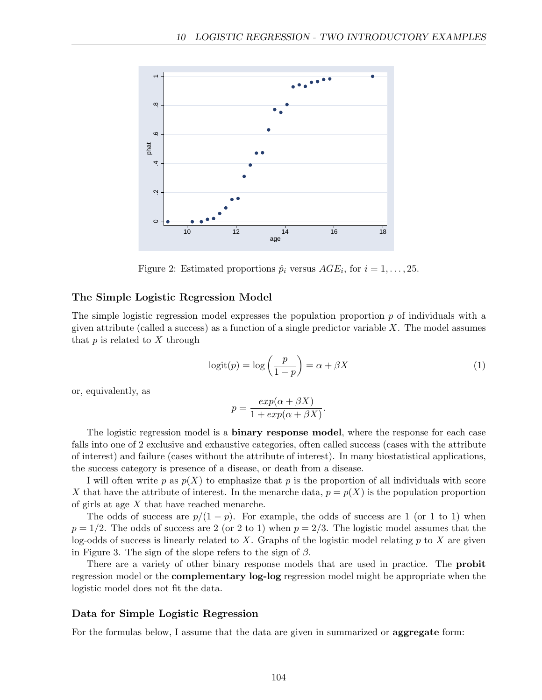

Figure 2: Estimated proportions  $\hat{p}_i$  versus  $AGE_i$ , for  $i = 1, \ldots, 25$ .

#### The Simple Logistic Regression Model

The simple logistic regression model expresses the population proportion  $p$  of individuals with a given attribute (called a success) as a function of a single predictor variable  $X$ . The model assumes that  $p$  is related to  $X$  through

$$
logit(p) = log\left(\frac{p}{1-p}\right) = \alpha + \beta X\tag{1}
$$

or, equivalently, as

$$
p = \frac{exp(\alpha + \beta X)}{1 + exp(\alpha + \beta X)}.
$$

The logistic regression model is a binary response model, where the response for each case falls into one of 2 exclusive and exhaustive categories, often called success (cases with the attribute of interest) and failure (cases without the attribute of interest). In many biostatistical applications, the success category is presence of a disease, or death from a disease.

I will often write p as  $p(X)$  to emphasize that p is the proportion of all individuals with score X that have the attribute of interest. In the menarche data,  $p = p(X)$  is the population proportion of girls at age X that have reached menarche.

The odds of success are  $p/(1-p)$ . For example, the odds of success are 1 (or 1 to 1) when  $p = 1/2$ . The odds of success are 2 (or 2 to 1) when  $p = 2/3$ . The logistic model assumes that the log-odds of success is linearly related to X. Graphs of the logistic model relating  $p$  to X are given in Figure 3. The sign of the slope refers to the sign of  $\beta$ .

There are a variety of other binary response models that are used in practice. The probit regression model or the complementary log-log regression model might be appropriate when the logistic model does not fit the data.

#### Data for Simple Logistic Regression

For the formulas below, I assume that the data are given in summarized or **aggregate** form: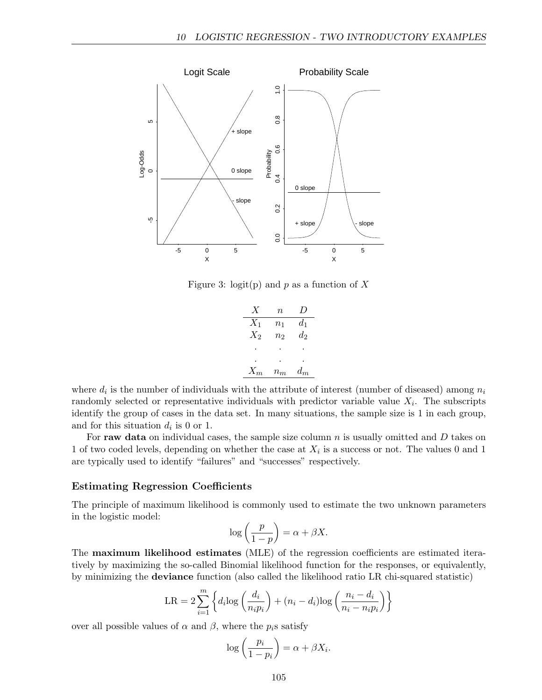

Figure 3: logit(p) and p as a function of X

$$
\begin{array}{ccccc}\nX & n & D \\
\hline\nX_1 & n_1 & d_1 \\
X_2 & n_2 & d_2 \\
\hline\n\end{array}
$$

where  $d_i$  is the number of individuals with the attribute of interest (number of diseased) among  $n_i$ randomly selected or representative individuals with predictor variable value  $X_i$ . The subscripts identify the group of cases in the data set. In many situations, the sample size is 1 in each group, and for this situation  $d_i$  is 0 or 1.

For raw data on individual cases, the sample size column  $n$  is usually omitted and  $D$  takes on 1 of two coded levels, depending on whether the case at  $X_i$  is a success or not. The values 0 and 1 are typically used to identify "failures" and "successes" respectively.

## Estimating Regression Coefficients

The principle of maximum likelihood is commonly used to estimate the two unknown parameters in the logistic model:  $\mathbf{r}$ 

$$
\log\left(\frac{p}{1-p}\right) = \alpha + \beta X.
$$

The maximum likelihood estimates (MLE) of the regression coefficients are estimated iteratively by maximizing the so-called Binomial likelihood function for the responses, or equivalently, by minimizing the deviance function (also called the likelihood ratio LR chi-squared statistic)

$$
LR = 2\sum_{i=1}^{m} \left\{ d_i \log \left( \frac{d_i}{n_i p_i} \right) + (n_i - d_i) \log \left( \frac{n_i - d_i}{n_i - n_i p_i} \right) \right\}
$$

over all possible values of  $\alpha$  and  $\beta$ , where the  $p_i$ s satisfy

$$
\log\left(\frac{p_i}{1-p_i}\right) = \alpha + \beta X_i.
$$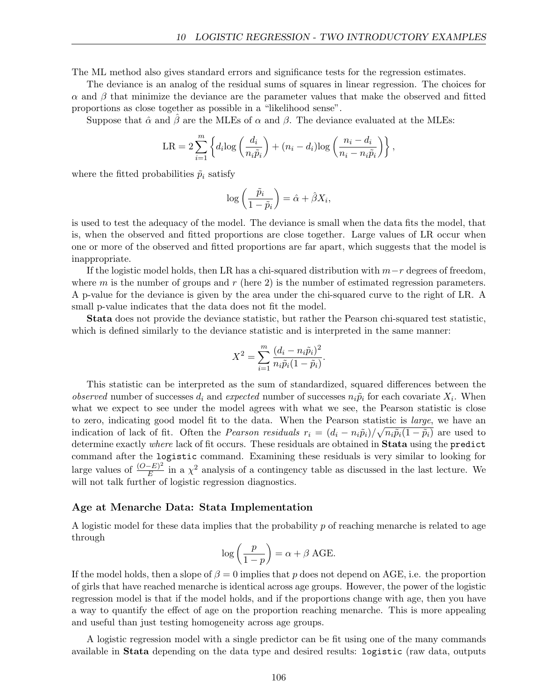The ML method also gives standard errors and significance tests for the regression estimates.

The deviance is an analog of the residual sums of squares in linear regression. The choices for  $\alpha$  and  $\beta$  that minimize the deviance are the parameter values that make the observed and fitted proportions as close together as possible in a "likelihood sense".

Suppose that  $\hat{\alpha}$  and  $\hat{\beta}$  are the MLEs of  $\alpha$  and  $\beta$ . The deviance evaluated at the MLEs:

$$
LR = 2\sum_{i=1}^{m} \left\{ d_i \log \left( \frac{d_i}{n_i \tilde{p}_i} \right) + (n_i - d_i) \log \left( \frac{n_i - d_i}{n_i - n_i \tilde{p}_i} \right) \right\},\,
$$

where the fitted probabilities  $\tilde{p}_i$  satisfy

$$
\log\left(\frac{\tilde{p}_i}{1-\tilde{p}_i}\right) = \hat{\alpha} + \hat{\beta}X_i,
$$

is used to test the adequacy of the model. The deviance is small when the data fits the model, that is, when the observed and fitted proportions are close together. Large values of LR occur when one or more of the observed and fitted proportions are far apart, which suggests that the model is inappropriate.

If the logistic model holds, then LR has a chi-squared distribution with  $m-r$  degrees of freedom, where  $m$  is the number of groups and  $r$  (here 2) is the number of estimated regression parameters. A p-value for the deviance is given by the area under the chi-squared curve to the right of LR. A small p-value indicates that the data does not fit the model.

Stata does not provide the deviance statistic, but rather the Pearson chi-squared test statistic, which is defined similarly to the deviance statistic and is interpreted in the same manner:

$$
X^{2} = \sum_{i=1}^{m} \frac{(d_{i} - n_{i}\tilde{p}_{i})^{2}}{n_{i}\tilde{p}_{i}(1 - \tilde{p}_{i})}.
$$

This statistic can be interpreted as the sum of standardized, squared differences between the observed number of successes  $d_i$  and expected number of successes  $n_i \tilde{p}_i$  for each covariate  $X_i$ . When what we expect to see under the model agrees with what we see, the Pearson statistic is close to zero, indicating good model fit to the data. When the Pearson statistic is *large*, we have an indication of lack of fit. Often the *Pearson residuals*  $r_i = (d_i - n_i \tilde{p}_i)/\sqrt{n_i \tilde{p}_i(1-\tilde{p}_i)}$  are used to determine exactly where lack of fit occurs. These residuals are obtained in **Stata** using the **predict** command after the logistic command. Examining these residuals is very similar to looking for large values of  $\frac{(O-E)^2}{E}$  $\frac{(-E)^2}{E}$  in a  $\chi^2$  analysis of a contingency table as discussed in the last lecture. We will not talk further of logistic regression diagnostics.

# Age at Menarche Data: Stata Implementation

A logistic model for these data implies that the probability  $p$  of reaching menarche is related to age through  $\mathbf{r}$ 

$$
\log\left(\frac{p}{1-p}\right) = \alpha + \beta \text{ AGE.}
$$

If the model holds, then a slope of  $\beta = 0$  implies that p does not depend on AGE, i.e. the proportion of girls that have reached menarche is identical across age groups. However, the power of the logistic regression model is that if the model holds, and if the proportions change with age, then you have a way to quantify the effect of age on the proportion reaching menarche. This is more appealing and useful than just testing homogeneity across age groups.

A logistic regression model with a single predictor can be fit using one of the many commands available in Stata depending on the data type and desired results: logistic (raw data, outputs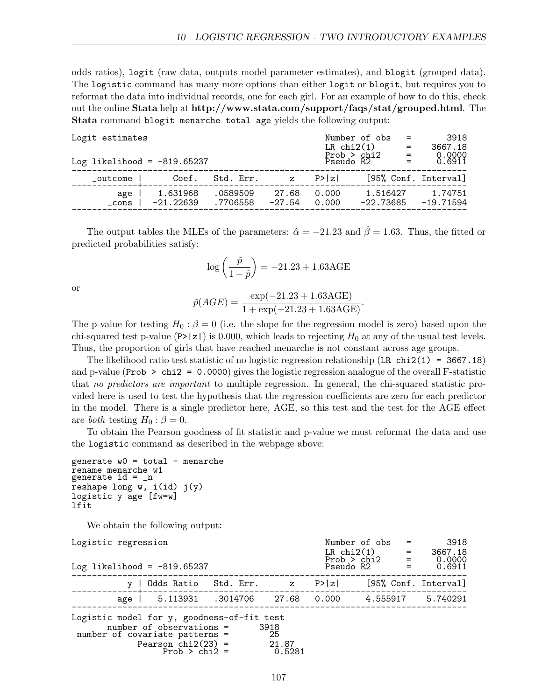odds ratios), logit (raw data, outputs model parameter estimates), and blogit (grouped data). The logistic command has many more options than either logit or blogit, but requires you to reformat the data into individual records, one for each girl. For an example of how to do this, check out the online Stata help at http://www.stata.com/support/faqs/stat/grouped.html. The Stata command blogit menarche total age yields the following output:

| Logit estimates<br>Log likelihood = $-819.65237$ |                         |                      |                   | Number of obs<br>$LR$ chi $2(1)$<br>Prob > chi2<br>Pseudo R2 |                         | $=$<br>$=$ | 3918<br>3667.18<br>0.0000<br>0.6911 |
|--------------------------------------------------|-------------------------|----------------------|-------------------|--------------------------------------------------------------|-------------------------|------------|-------------------------------------|
| _outcome                                         | Coef.                   | Std. Err.            | $\mathbf{Z}$      | P>  z                                                        |                         |            | [95% Conf. Interval]                |
| age<br>cons                                      | 1.631968<br>$-21.22639$ | .0589509<br>.7706558 | 27.68<br>$-27.54$ | 0.000<br>0.000                                               | 1.516427<br>$-22.73685$ |            | 1.74751<br>$-19.71594$              |
|                                                  |                         |                      |                   |                                                              |                         |            |                                     |

The output tables the MLEs of the parameters:  $\hat{\alpha} = -21.23$  and  $\hat{\beta} = 1.63$ . Thus, the fitted or predicted probabilities satisfy:

$$
\log\left(\frac{\tilde{p}}{1-\tilde{p}}\right) = -21.23 + 1.63 \text{AGE}
$$

or

$$
\tilde{p}(AGE) = \frac{\exp(-21.23 + 1.63 \text{AGE})}{1 + \exp(-21.23 + 1.63 \text{AGE})}.
$$

The p-value for testing  $H_0: \beta = 0$  (i.e. the slope for the regression model is zero) based upon the chi-squared test p-value  $(P>|z|)$  is 0.000, which leads to rejecting  $H_0$  at any of the usual test levels. Thus, the proportion of girls that have reached menarche is not constant across age groups.

The likelihood ratio test statistic of no logistic regression relationship (LR chi2(1) = 3667.18) and p-value (Prob  $\ge$  chi2 = 0.0000) gives the logistic regression analogue of the overall F-statistic that no predictors are important to multiple regression. In general, the chi-squared statistic provided here is used to test the hypothesis that the regression coefficients are zero for each predictor in the model. There is a single predictor here, AGE, so this test and the test for the AGE effect are *both* testing  $H_0: \beta = 0$ .

To obtain the Pearson goodness of fit statistic and p-value we must reformat the data and use the logistic command as described in the webpage above:

```
generate w0 = total - meanrename menarche w1
generate id = _n
reshape long w, i(id) j(y)logistic y age [fw=w]
lfit
```
We obtain the following output:

| Logistic regression                                                          |                                                                       |                                | Number of obs<br>$LR$ chi $2(1)$ |                                                                                                                | 3918<br>3667.18      |
|------------------------------------------------------------------------------|-----------------------------------------------------------------------|--------------------------------|----------------------------------|----------------------------------------------------------------------------------------------------------------|----------------------|
| Log likelihood = $-819.65237$                                                |                                                                       |                                | Prob > chi2<br>Pseudo R2         | $\begin{aligned} \mathcal{L}_{\text{max}}(\mathbf{r}) &= \mathbf{r} \mathbf{r} \\ &= \mathbf{r} \end{aligned}$ | 0.0000<br>0.6911     |
| V                                                                            | Odds Ratio Std. Err. z                                                |                                | P >  z                           |                                                                                                                | [95% Conf. Interval] |
| age                                                                          | 5.113931 .3014706 27.68 0.000 4.555917 5.740291                       |                                |                                  |                                                                                                                |                      |
| Logistic model for y, goodness-of-fit test<br>number of covariate patterns = | $number of observations =$<br>Pearson $chi2(23)$ =<br>Prob $>$ chi2 = | 3918<br>-25<br>21.87<br>0.5281 |                                  |                                                                                                                |                      |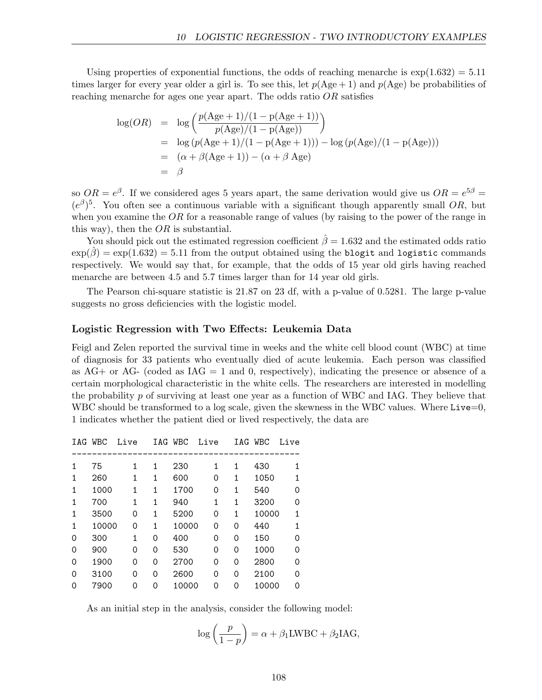Using properties of exponential functions, the odds of reaching menarche is  $\exp(1.632) = 5.11$ times larger for every year older a girl is. To see this, let  $p(Age + 1)$  and  $p(Age)$  be probabilities of reaching menarche for ages one year apart. The odds ratio OR satisfies

$$
log(OR) = log\left(\frac{p(Age + 1)/(1 - p(Age + 1))}{p(Age)/(1 - p(Age))}\right)
$$
  
= log(p(Age + 1)/(1 - p(Age + 1))) - log(p(Age)/(1 - p(Age)))  
= (\alpha + \beta(Age + 1)) - (\alpha + \beta Age)  
= \beta

so  $OR = e^{\beta}$ . If we considered ages 5 years apart, the same derivation would give us  $OR = e^{5\beta}$  $(e^{\beta})^5$ . You often see a continuous variable with a significant though apparently small OR, but when you examine the  $OR$  for a reasonable range of values (by raising to the power of the range in this way), then the  $OR$  is substantial.

You should pick out the estimated regression coefficient  $\hat{\beta} = 1.632$  and the estimated odds ratio  $\exp(\hat{\beta}) = \exp(1.632) = 5.11$  from the output obtained using the blogit and logistic commands respectively. We would say that, for example, that the odds of 15 year old girls having reached menarche are between 4.5 and 5.7 times larger than for 14 year old girls.

The Pearson chi-square statistic is 21.87 on 23 df, with a p-value of 0.5281. The large p-value suggests no gross deficiencies with the logistic model.

## Logistic Regression with Two Effects: Leukemia Data

Feigl and Zelen reported the survival time in weeks and the white cell blood count (WBC) at time of diagnosis for 33 patients who eventually died of acute leukemia. Each person was classified as  $AG+$  or  $AG-$  (coded as  $IAG = 1$  and 0, respectively), indicating the presence or absence of a certain morphological characteristic in the white cells. The researchers are interested in modelling the probability  $p$  of surviving at least one year as a function of WBC and IAG. They believe that WBC should be transformed to a log scale, given the skewness in the WBC values. Where Live=0, 1 indicates whether the patient died or lived respectively, the data are

| T A G | WBC   | Live |   | IAG WBC | Live |   | IAG WBC | Live |
|-------|-------|------|---|---------|------|---|---------|------|
|       |       |      |   |         |      |   |         |      |
| 1     | 75    | 1    | 1 | 230     | 1    | 1 | 430     | 1    |
| 1     | 260   | 1    | 1 | 600     | 0    | 1 | 1050    | 1    |
| 1     | 1000  | 1    | 1 | 1700    | 0    | 1 | 540     | 0    |
| 1     | 700   | 1    | 1 | 940     | 1    | 1 | 3200    | 0    |
| 1     | 3500  | 0    | 1 | 5200    | 0    | 1 | 10000   | 1    |
| 1     | 10000 | 0    | 1 | 10000   | 0    | Ω | 440     | 1    |
| Ω     | 300   | 1    | Ω | 400     | 0    | 0 | 150     | 0    |
| Ω     | 900   | 0    | Ω | 530     | 0    | 0 | 1000    | ∩    |
| Ω     | 1900  | 0    | ∩ | 2700    | 0    | Ω | 2800    | ∩    |
| Ω     | 3100  | 0    | ∩ | 2600    | 0    | Ω | 2100    | ∩    |
| Ω     | 7900  | 0    | ∩ | 10000   | ∩    | ∩ | 10000   | ∩    |

As an initial step in the analysis, consider the following model:

$$
\log\left(\frac{p}{1-p}\right) = \alpha + \beta_1 \text{LWBC} + \beta_2 \text{IAG},
$$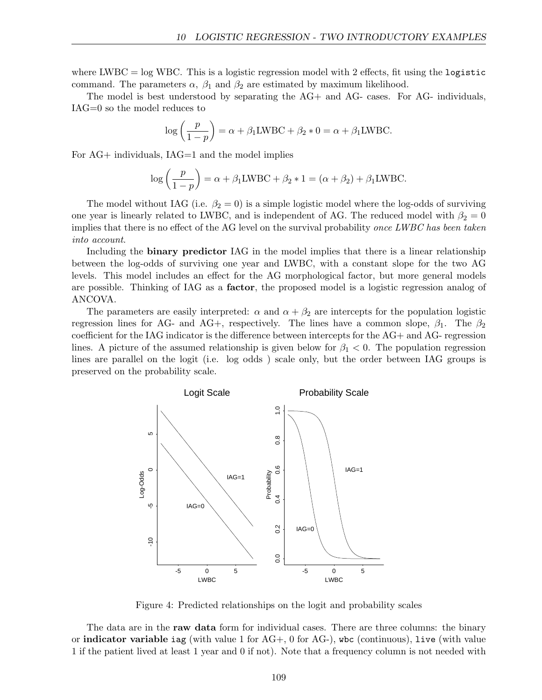where  $LWBC = \log WBC$ . This is a logistic regression model with 2 effects, fit using the logistic command. The parameters  $\alpha$ ,  $\beta_1$  and  $\beta_2$  are estimated by maximum likelihood.

The model is best understood by separating the AG+ and AG- cases. For AG- individuals, IAG=0 so the model reduces to

$$
\log\left(\frac{p}{1-p}\right) = \alpha + \beta_1 \text{LWBC} + \beta_2 * 0 = \alpha + \beta_1 \text{LWBC}.
$$

For AG+ individuals, IAG=1 and the model implies

$$
\log\left(\frac{p}{1-p}\right) = \alpha + \beta_1 \text{LWBC} + \beta_2 * 1 = (\alpha + \beta_2) + \beta_1 \text{LWBC}.
$$

The model without IAG (i.e.  $\beta_2 = 0$ ) is a simple logistic model where the log-odds of surviving one year is linearly related to LWBC, and is independent of AG. The reduced model with  $\beta_2 = 0$ implies that there is no effect of the AG level on the survival probability once LWBC has been taken into account.

Including the binary predictor IAG in the model implies that there is a linear relationship between the log-odds of surviving one year and LWBC, with a constant slope for the two AG levels. This model includes an effect for the AG morphological factor, but more general models are possible. Thinking of IAG as a factor, the proposed model is a logistic regression analog of ANCOVA.

The parameters are easily interpreted:  $\alpha$  and  $\alpha + \beta_2$  are intercepts for the population logistic regression lines for AG- and AG+, respectively. The lines have a common slope,  $\beta_1$ . The  $\beta_2$ coefficient for the IAG indicator is the difference between intercepts for the AG+ and AG- regression lines. A picture of the assumed relationship is given below for  $\beta_1 < 0$ . The population regression lines are parallel on the logit (i.e. log odds ) scale only, but the order between IAG groups is preserved on the probability scale.



Figure 4: Predicted relationships on the logit and probability scales

The data are in the raw data form for individual cases. There are three columns: the binary or **indicator variable iag** (with value 1 for  $AG+$ , 0 for  $AG-$ ), wbc (continuous), live (with value 1 if the patient lived at least 1 year and 0 if not). Note that a frequency column is not needed with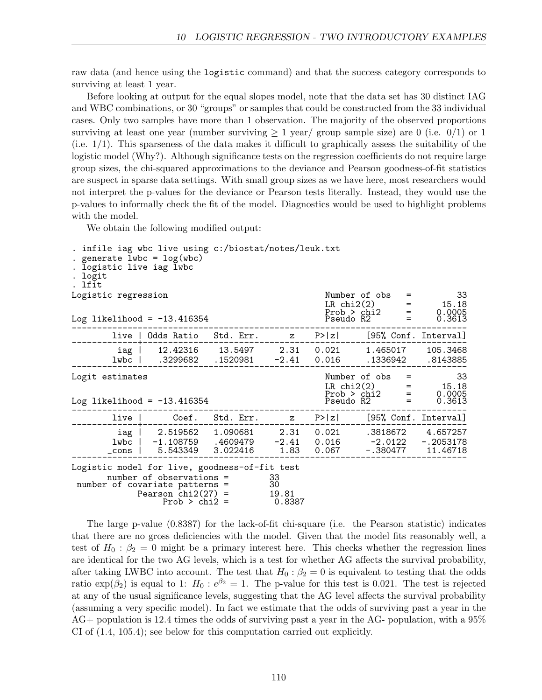raw data (and hence using the logistic command) and that the success category corresponds to surviving at least 1 year.

Before looking at output for the equal slopes model, note that the data set has 30 distinct IAG and WBC combinations, or 30 "groups" or samples that could be constructed from the 33 individual cases. Only two samples have more than 1 observation. The majority of the observed proportions surviving at least one year (number surviving  $> 1$  year/ group sample size) are 0 (i.e. 0/1) or 1  $(i.e. 1/1)$ . This sparseness of the data makes it difficult to graphically assess the suitability of the logistic model (Why?). Although significance tests on the regression coefficients do not require large group sizes, the chi-squared approximations to the deviance and Pearson goodness-of-fit statistics are suspect in sparse data settings. With small group sizes as we have here, most researchers would not interpret the p-values for the deviance or Pearson tests literally. Instead, they would use the p-values to informally check the fit of the model. Diagnostics would be used to highlight problems with the model.

We obtain the following modified output:

| . infile iag wbc live using c:/biostat/notes/leuk.txt<br>. generate $l$ wbc = $log($ wbc)<br>. logistic live iag lwbc<br>. logit<br>. lfit |                               |                                            |              |                |                                                                             |                                              |
|--------------------------------------------------------------------------------------------------------------------------------------------|-------------------------------|--------------------------------------------|--------------|----------------|-----------------------------------------------------------------------------|----------------------------------------------|
| Logistic regression                                                                                                                        |                               |                                            |              |                | Number of obs<br>$=$                                                        | 33<br>15.18                                  |
| Log likelihood = $-13.416354$                                                                                                              |                               |                                            |              |                | Number $\frac{1}{2}$ =<br>LR chi2(2) =<br>Prob > chi2 =                     | 0.0005<br>0.3613                             |
| live l                                                                                                                                     | Odds Ratio Std. Err.          |                                            |              |                | z P> z  [95% Conf. Interval]                                                |                                              |
| iag  <br>$1$ wbc $\vert$                                                                                                                   | .3299682                      | 12.42316  13.5497  2.31  0.021<br>.1520981 | $-2.41$      | 0.016          | 1.465017<br>.1336942                                                        | 105.3468<br>.8143885                         |
| Logit estimates<br>Log likelihood = $-13.416354$                                                                                           |                               |                                            |              |                | Number of obs<br>$=$<br>LR chi2(2) =<br>Prob > chi2 = (<br>Pseudo R2<br>$=$ | -33<br>15.18<br>0.0005<br>0.3613             |
| live                                                                                                                                       | Coef.                         | Std. Err.                                  | $\mathbf{Z}$ | P> z           |                                                                             | [95% Conf. Interval]                         |
| iag  <br>$1$ wbc $\vert$<br>_cons                                                                                                          | 2.519562 1.090681<br>5.543349 | 3.022416                                   | 2.31<br>1.83 | 0.021<br>0.067 | $-1.108759$ $.4609479$ $-2.41$ 0.016 $-2.0122$<br>-.380477                  | .3818672 4.657257<br>$-.2053178$<br>11.46718 |
| Logistic model for live, goodness-of-fit test<br>$number of observations =$                                                                |                               |                                            | 33           |                |                                                                             |                                              |

number of covariate patterns

|  | Pearson $chi2(27) =$ | 19.81  |
|--|----------------------|--------|
|  | Prob $>$ chi2 =      | 0.8387 |
|  |                      |        |

The large p-value (0.8387) for the lack-of-fit chi-square (i.e. the Pearson statistic) indicates that there are no gross deficiencies with the model. Given that the model fits reasonably well, a test of  $H_0$ :  $\beta_2 = 0$  might be a primary interest here. This checks whether the regression lines are identical for the two AG levels, which is a test for whether AG affects the survival probability, after taking LWBC into account. The test that  $H_0$ :  $\beta_2 = 0$  is equivalent to testing that the odds ratio  $\exp(\beta_2)$  is equal to 1:  $H_0: e^{\beta_2} = 1$ . The p-value for this test is 0.021. The test is rejected at any of the usual significance levels, suggesting that the AG level affects the survival probability (assuming a very specific model). In fact we estimate that the odds of surviving past a year in the AG+ population is 12.4 times the odds of surviving past a year in the AG- population, with a 95% CI of (1.4, 105.4); see below for this computation carried out explicitly.